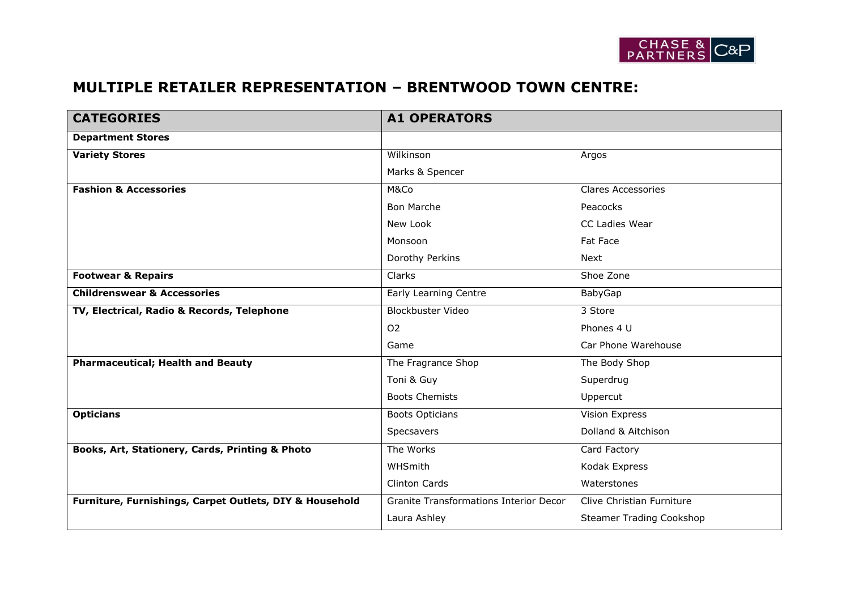

## **MULTIPLE RETAILER REPRESENTATION – BRENTWOOD TOWN CENTRE:**

| <b>CATEGORIES</b>                                       | <b>A1 OPERATORS</b>                    |                                 |
|---------------------------------------------------------|----------------------------------------|---------------------------------|
| <b>Department Stores</b>                                |                                        |                                 |
| <b>Variety Stores</b>                                   | Wilkinson                              | Argos                           |
|                                                         | Marks & Spencer                        |                                 |
| <b>Fashion &amp; Accessories</b>                        | M&Co                                   | <b>Clares Accessories</b>       |
|                                                         | <b>Bon Marche</b>                      | Peacocks                        |
|                                                         | New Look                               | CC Ladies Wear                  |
|                                                         | Monsoon                                | Fat Face                        |
|                                                         | Dorothy Perkins                        | <b>Next</b>                     |
| <b>Footwear &amp; Repairs</b>                           | Clarks                                 | Shoe Zone                       |
| <b>Childrenswear &amp; Accessories</b>                  | Early Learning Centre                  | BabyGap                         |
| TV, Electrical, Radio & Records, Telephone              | <b>Blockbuster Video</b>               | 3 Store                         |
|                                                         | 02                                     | Phones 4 U                      |
|                                                         | Game                                   | Car Phone Warehouse             |
| <b>Pharmaceutical; Health and Beauty</b>                | The Fragrance Shop                     | The Body Shop                   |
|                                                         | Toni & Guy                             | Superdrug                       |
|                                                         | <b>Boots Chemists</b>                  | Uppercut                        |
| <b>Opticians</b>                                        | <b>Boots Opticians</b>                 | <b>Vision Express</b>           |
|                                                         | Specsavers                             | Dolland & Aitchison             |
| Books, Art, Stationery, Cards, Printing & Photo         | The Works                              | Card Factory                    |
|                                                         | WHSmith                                | Kodak Express                   |
|                                                         | Clinton Cards                          | Waterstones                     |
| Furniture, Furnishings, Carpet Outlets, DIY & Household | Granite Transformations Interior Decor | Clive Christian Furniture       |
|                                                         | Laura Ashley                           | <b>Steamer Trading Cookshop</b> |